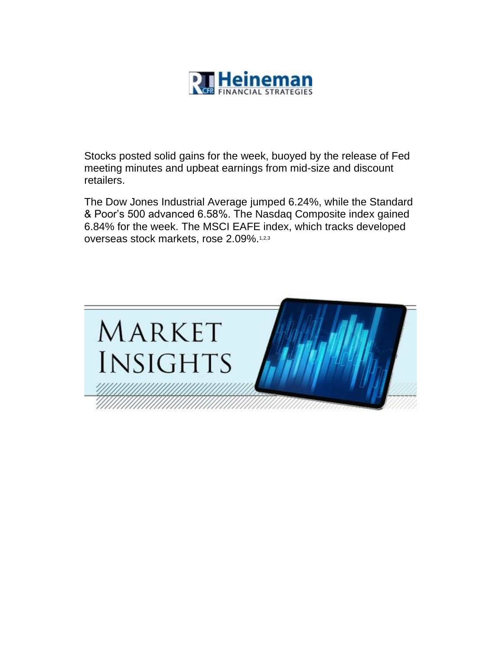

Stocks posted solid gains for the week, buoyed by the release of Fed meeting minutes and upbeat earnings from mid-size and discount retailers.

The Dow Jones Industrial Average jumped 6.24%, while the Standard & Poor's 500 advanced 6.58%. The Nasdaq Composite index gained 6.84% for the week. The MSCI EAFE index, which tracks developed overseas stock markets, rose 2.09%.1,2,3

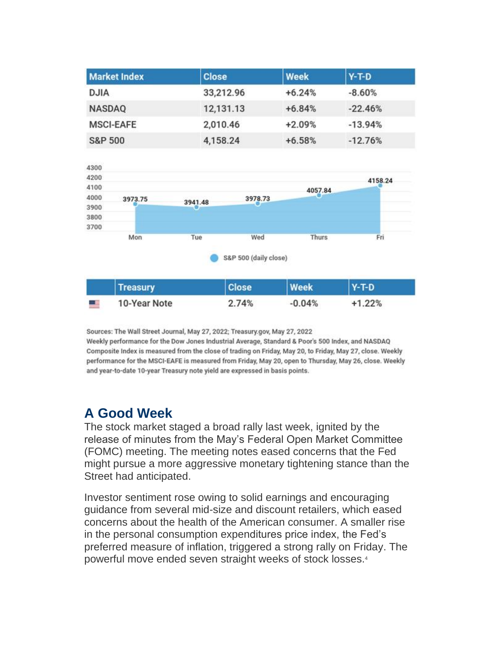| <b>Market Index</b> | <b>Close</b> | <b>Week</b> | $Y-T-D$   |
|---------------------|--------------|-------------|-----------|
| <b>DJIA</b>         | 33,212.96    | $+6.24%$    | $-8.60%$  |
| <b>NASDAQ</b>       | 12,131.13    | $+6.84%$    | $-22.46%$ |
| <b>MSCI-EAFE</b>    | 2,010.46     | $+2.09%$    | $-13.94%$ |
| <b>S&amp;P 500</b>  | 4,158.24     | $+6.58%$    | $-12.76%$ |



Sources: The Wall Street Journal, May 27, 2022; Treasury.gov, May 27, 2022 Weekly performance for the Dow Jones Industrial Average, Standard & Poor's 500 Index, and NASDAQ Composite Index is measured from the close of trading on Friday, May 20, to Friday, May 27, close. Weekly performance for the MSCI-EAFE is measured from Friday, May 20, open to Thursday, May 26, close. Weekly and year-to-date 10-year Treasury note yield are expressed in basis points.

#### **A Good Week**

The stock market staged a broad rally last week, ignited by the release of minutes from the May's Federal Open Market Committee (FOMC) meeting. The meeting notes eased concerns that the Fed might pursue a more aggressive monetary tightening stance than the Street had anticipated.

Investor sentiment rose owing to solid earnings and encouraging guidance from several mid-size and discount retailers, which eased concerns about the health of the American consumer. A smaller rise in the personal consumption expenditures price index, the Fed's preferred measure of inflation, triggered a strong rally on Friday. The powerful move ended seven straight weeks of stock losses.4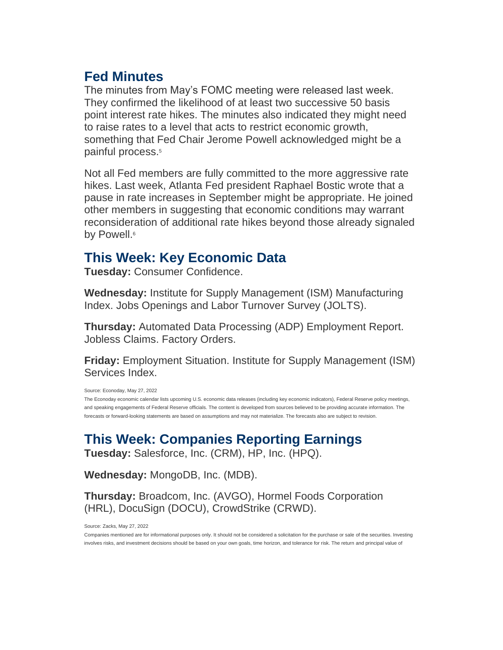#### **Fed Minutes**

The minutes from May's FOMC meeting were released last week. They confirmed the likelihood of at least two successive 50 basis point interest rate hikes. The minutes also indicated they might need to raise rates to a level that acts to restrict economic growth, something that Fed Chair Jerome Powell acknowledged might be a painful process.<sup>5</sup>

Not all Fed members are fully committed to the more aggressive rate hikes. Last week, Atlanta Fed president Raphael Bostic wrote that a pause in rate increases in September might be appropriate. He joined other members in suggesting that economic conditions may warrant reconsideration of additional rate hikes beyond those already signaled by Powell.<sup>6</sup>

#### **This Week: Key Economic Data**

**Tuesday:** Consumer Confidence.

**Wednesday:** Institute for Supply Management (ISM) Manufacturing Index. Jobs Openings and Labor Turnover Survey (JOLTS).

**Thursday:** Automated Data Processing (ADP) Employment Report. Jobless Claims. Factory Orders.

**Friday:** Employment Situation. Institute for Supply Management (ISM) Services Index.

Source: Econoday, May 27, 2022

The Econoday economic calendar lists upcoming U.S. economic data releases (including key economic indicators), Federal Reserve policy meetings, and speaking engagements of Federal Reserve officials. The content is developed from sources believed to be providing accurate information. The forecasts or forward-looking statements are based on assumptions and may not materialize. The forecasts also are subject to revision.

# **This Week: Companies Reporting Earnings**

**Tuesday:** Salesforce, Inc. (CRM), HP, Inc. (HPQ).

**Wednesday:** MongoDB, Inc. (MDB).

**Thursday:** Broadcom, Inc. (AVGO), Hormel Foods Corporation (HRL), DocuSign (DOCU), CrowdStrike (CRWD).

Source: Zacks, May 27, 2022

Companies mentioned are for informational purposes only. It should not be considered a solicitation for the purchase or sale of the securities. Investing involves risks, and investment decisions should be based on your own goals, time horizon, and tolerance for risk. The return and principal value of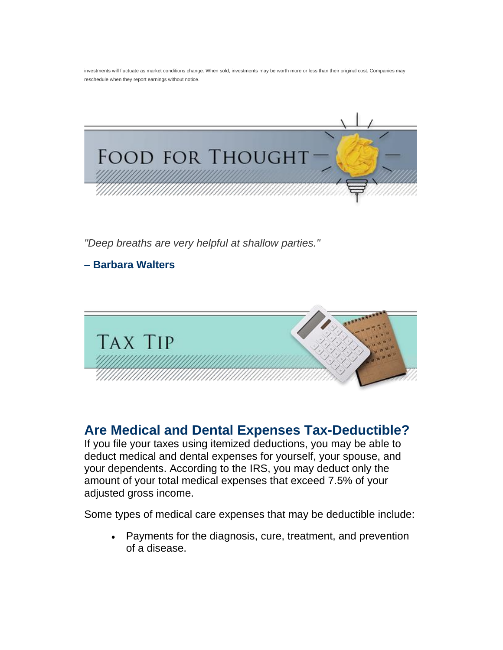investments will fluctuate as market conditions change. When sold, investments may be worth more or less than their original cost. Companies may reschedule when they report earnings without notice.



*"Deep breaths are very helpful at shallow parties."*

**– Barbara Walters**



### **Are Medical and Dental Expenses Tax-Deductible?**

If you file your taxes using itemized deductions, you may be able to deduct medical and dental expenses for yourself, your spouse, and your dependents. According to the IRS, you may deduct only the amount of your total medical expenses that exceed 7.5% of your adjusted gross income.

Some types of medical care expenses that may be deductible include:

• Payments for the diagnosis, cure, treatment, and prevention of a disease.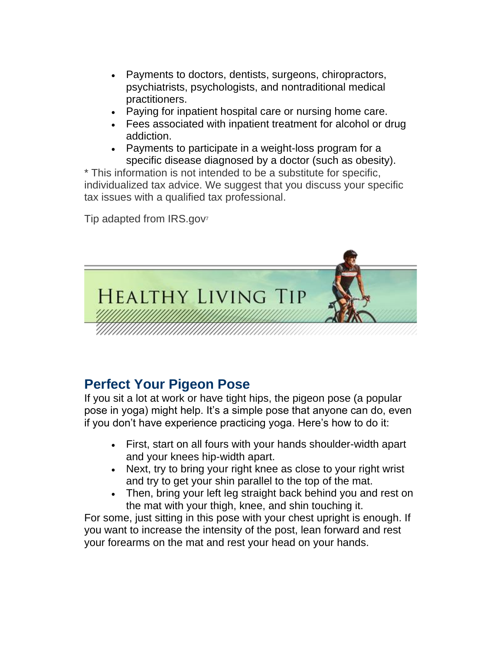- Payments to doctors, dentists, surgeons, chiropractors, psychiatrists, psychologists, and nontraditional medical practitioners.
- Paying for inpatient hospital care or nursing home care.
- Fees associated with inpatient treatment for alcohol or drug addiction.
- Payments to participate in a weight-loss program for a specific disease diagnosed by a doctor (such as obesity).

\* This information is not intended to be a substitute for specific, individualized tax advice. We suggest that you discuss your specific tax issues with a qualified tax professional.

Tip adapted from IRS.gov<sup>7</sup>



# **Perfect Your Pigeon Pose**

If you sit a lot at work or have tight hips, the pigeon pose (a popular pose in yoga) might help. It's a simple pose that anyone can do, even if you don't have experience practicing yoga. Here's how to do it:

- First, start on all fours with your hands shoulder-width apart and your knees hip-width apart.
- Next, try to bring your right knee as close to your right wrist and try to get your shin parallel to the top of the mat.
- Then, bring your left leg straight back behind you and rest on the mat with your thigh, knee, and shin touching it.

For some, just sitting in this pose with your chest upright is enough. If you want to increase the intensity of the post, lean forward and rest your forearms on the mat and rest your head on your hands.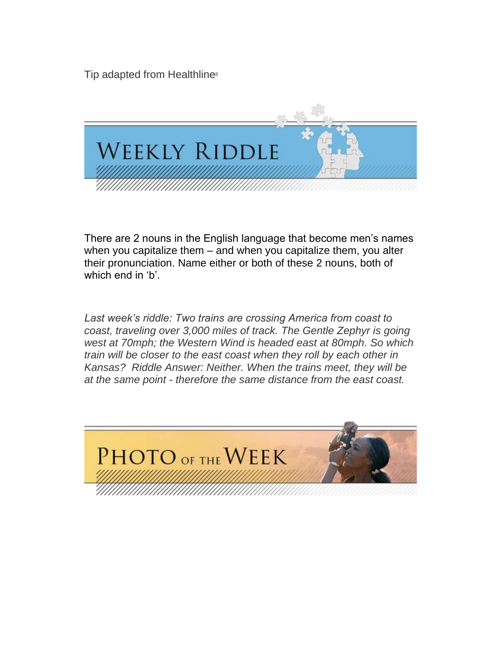Tip adapted from Healthline<sup>8</sup>



There are 2 nouns in the English language that become men's names when you capitalize them – and when you capitalize them, you alter their pronunciation. Name either or both of these 2 nouns, both of which end in 'b'.

*Last week's riddle: Two trains are crossing America from coast to coast, traveling over 3,000 miles of track. The Gentle Zephyr is going west at 70mph; the Western Wind is headed east at 80mph. So which train will be closer to the east coast when they roll by each other in Kansas? Riddle Answer: Neither. When the trains meet, they will be at the same point - therefore the same distance from the east coast.*

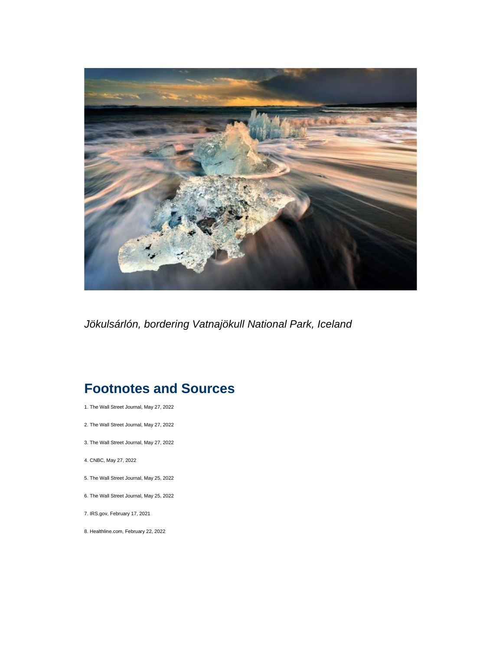

*Jökulsárlón, bordering Vatnajökull National Park, Iceland*

# **Footnotes and Sources**

- 1. The Wall Street Journal, May 27, 2022
- 2. The Wall Street Journal, May 27, 2022
- 3. The Wall Street Journal, May 27, 2022
- 4. CNBC, May 27, 2022
- 5. The Wall Street Journal, May 25, 2022
- 6. The Wall Street Journal, May 25, 2022
- 7. IRS.gov, February 17, 2021
- 8. Healthline.com, February 22, 2022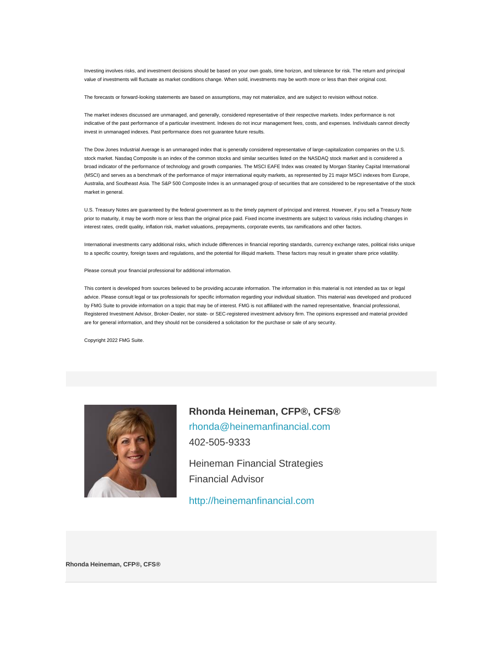Investing involves risks, and investment decisions should be based on your own goals, time horizon, and tolerance for risk. The return and principal value of investments will fluctuate as market conditions change. When sold, investments may be worth more or less than their original cost.

The forecasts or forward-looking statements are based on assumptions, may not materialize, and are subject to revision without notice.

The market indexes discussed are unmanaged, and generally, considered representative of their respective markets. Index performance is not indicative of the past performance of a particular investment. Indexes do not incur management fees, costs, and expenses. Individuals cannot directly invest in unmanaged indexes. Past performance does not guarantee future results.

The Dow Jones Industrial Average is an unmanaged index that is generally considered representative of large-capitalization companies on the U.S. stock market. Nasdaq Composite is an index of the common stocks and similar securities listed on the NASDAQ stock market and is considered a broad indicator of the performance of technology and growth companies. The MSCI EAFE Index was created by Morgan Stanley Capital International (MSCI) and serves as a benchmark of the performance of major international equity markets, as represented by 21 major MSCI indexes from Europe, Australia, and Southeast Asia. The S&P 500 Composite Index is an unmanaged group of securities that are considered to be representative of the stock market in general.

U.S. Treasury Notes are guaranteed by the federal government as to the timely payment of principal and interest. However, if you sell a Treasury Note prior to maturity, it may be worth more or less than the original price paid. Fixed income investments are subject to various risks including changes in interest rates, credit quality, inflation risk, market valuations, prepayments, corporate events, tax ramifications and other factors.

International investments carry additional risks, which include differences in financial reporting standards, currency exchange rates, political risks unique to a specific country, foreign taxes and regulations, and the potential for illiquid markets. These factors may result in greater share price volatility.

Please consult your financial professional for additional information.

This content is developed from sources believed to be providing accurate information. The information in this material is not intended as tax or legal advice. Please consult legal or tax professionals for specific information regarding your individual situation. This material was developed and produced by FMG Suite to provide information on a topic that may be of interest. FMG is not affiliated with the named representative, financial professional, Registered Investment Advisor, Broker-Dealer, nor state- or SEC-registered investment advisory firm. The opinions expressed and material provided are for general information, and they should not be considered a solicitation for the purchase or sale of any security.

Copyright 2022 FMG Suite.



**Rhonda Heineman, CFP®, CFS®** [rhonda@heinemanfinancial.com](mailto:rhonda@heinemanfinancial.com) 402-505-9333

Heineman Financial Strategies Financial Advisor

[http://heinemanfinancial.com](http://heinemanfinancial.com/)